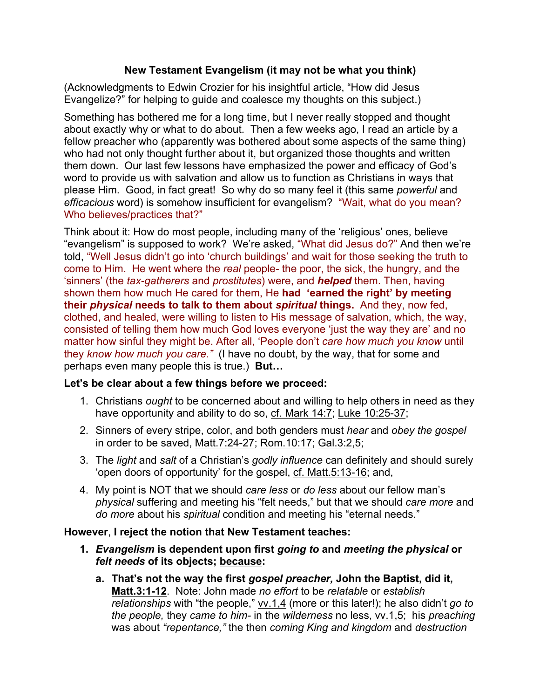## **New Testament Evangelism (it may not be what you think)**

(Acknowledgments to Edwin Crozier for his insightful article, "How did Jesus Evangelize?" for helping to guide and coalesce my thoughts on this subject.)

Something has bothered me for a long time, but I never really stopped and thought about exactly why or what to do about. Then a few weeks ago, I read an article by a fellow preacher who (apparently was bothered about some aspects of the same thing) who had not only thought further about it, but organized those thoughts and written them down. Our last few lessons have emphasized the power and efficacy of God's word to provide us with salvation and allow us to function as Christians in ways that please Him. Good, in fact great! So why do so many feel it (this same *powerful* and *efficacious* word) is somehow insufficient for evangelism? "Wait, what do you mean? Who believes/practices that?"

Think about it: How do most people, including many of the 'religious' ones, believe "evangelism" is supposed to work? We're asked, "What did Jesus do?" And then we're told, "Well Jesus didn't go into 'church buildings' and wait for those seeking the truth to come to Him. He went where the *real* people- the poor, the sick, the hungry, and the 'sinners' (the *tax-gatherers* and *prostitutes*) were, and *helped* them. Then, having shown them how much He cared for them, He **had 'earned the right' by meeting their** *physical* **needs to talk to them about** *spiritual* **things.** And they, now fed, clothed, and healed, were willing to listen to His message of salvation, which, the way, consisted of telling them how much God loves everyone 'just the way they are' and no matter how sinful they might be. After all, 'People don't *care how much you know* until they *know how much you care."* (I have no doubt, by the way, that for some and perhaps even many people this is true.) **But…**

## **Let's be clear about a few things before we proceed:**

- 1. Christians *ought* to be concerned about and willing to help others in need as they have opportunity and ability to do so, cf. Mark 14:7; Luke 10:25-37;
- 2. Sinners of every stripe, color, and both genders must *hear* and *obey the gospel*  in order to be saved, Matt.7:24-27; Rom.10:17; Gal.3:2,5;
- 3. The *light* and *salt* of a Christian's *godly influence* can definitely and should surely 'open doors of opportunity' for the gospel, cf. Matt.5:13-16; and,
- 4. My point is NOT that we should *care less* or *do less* about our fellow man's *physical* suffering and meeting his "felt needs," but that we should *care more* and *do more* about his *spiritual* condition and meeting his "eternal needs."

## **However**, **I reject the notion that New Testament teaches:**

- **1.** *Evangelism* **is dependent upon first** *going to* **and** *meeting the physical* **or**  *felt needs* **of its objects; because:**
	- **a. That's not the way the first** *gospel preacher,* **John the Baptist, did it, Matt.3:1-12**. Note: John made *no effort* to be *relatable* or *establish relationships* with "the people," vv.1,4 (more or this later!); he also didn't *go to the people,* they *came to him-* in the *wilderness* no less, vv.1,5; his *preaching*  was about *"repentance,"* the then *coming King and kingdom* and *destruction*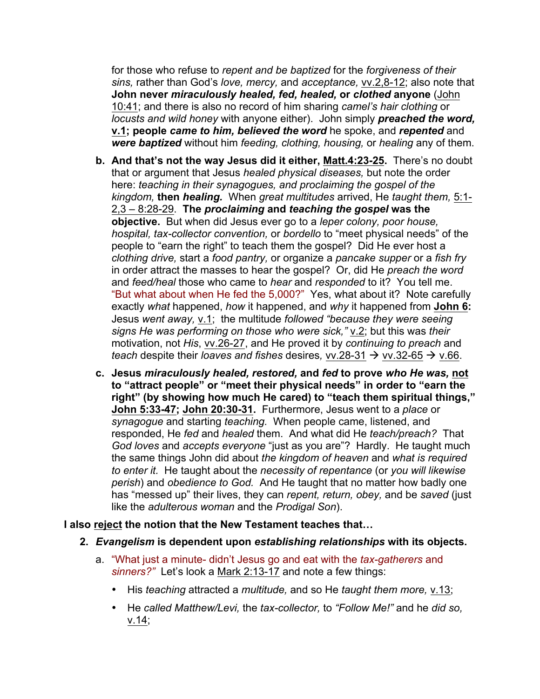for those who refuse to *repent and be baptized* for the *forgiveness of their sins,* rather than God's *love, mercy,* and *acceptance,* vv.2,8-12; also note that **John never** *miraculously healed, fed, healed,* **or** *clothed* **anyone** (John 10:41; and there is also no record of him sharing *camel's hair clothing* or *locusts and wild honey* with anyone either). John simply *preached the word,*  **v.1; people** *came to him, believed the word* he spoke, and *repented* and *were baptized* without him *feeding, clothing, housing,* or *healing* any of them.

- **b. And that's not the way Jesus did it either, Matt.4:23-25.** There's no doubt that or argument that Jesus *healed physical diseases,* but note the order here: *teaching in their synagogues, and proclaiming the gospel of the kingdom,* **then** *healing.* When *great multitudes* arrived, He *taught them,* 5:1- 2,3 – 8:28-29. **The** *proclaiming* **and** *teaching the gospel* **was the objective.** But when did Jesus ever go to a *leper colony, poor house, hospital, tax-collector convention,* or *bordello* to "meet physical needs" of the people to "earn the right" to teach them the gospel? Did He ever host a *clothing drive,* start a *food pantry,* or organize a *pancake supper* or a *fish fry*  in order attract the masses to hear the gospel? Or, did He *preach the word*  and *feed/heal* those who came to *hear* and *responded* to it? You tell me. "But what about when He fed the 5,000?" Yes, what about it? Note carefully exactly *what* happened, *how* it happened, and *why* it happened from **John 6:** Jesus *went away,* v.1; the multitude *followed "because they were seeing*  signs He was performing on those who were sick," v.2; but this was their motivation, not *His*, vv.26-27, and He proved it by *continuing to preach* and *teach despite their loaves and fishes desires,*  $vv.28-31 \rightarrow vv.32-65 \rightarrow v.66$ *.*
- **c. Jesus** *miraculously healed, restored,* **and** *fed* **to prove** *who He was,* **not to "attract people" or "meet their physical needs" in order to "earn the right" (by showing how much He cared) to "teach them spiritual things," John 5:33-47; John 20:30-31.** Furthermore, Jesus went to a *place* or *synagogue* and starting *teaching.* When people came, listened, and responded, He *fed* and *healed* them. And what did He *teach/preach?* That *God loves* and *accepts everyone* "just as you are"? Hardly. He taught much the same things John did about *the kingdom of heaven* and *what is required to enter it.* He taught about the *necessity of repentance* (or *you will likewise perish*) and *obedience to God.* And He taught that no matter how badly one has "messed up" their lives, they can *repent, return, obey,* and be *saved* (just like the *adulterous woman* and the *Prodigal Son*).

## **I also reject the notion that the New Testament teaches that…**

- **2.** *Evangelism* **is dependent upon** *establishing relationships* **with its objects.** 
	- a. "What just a minute- didn't Jesus go and eat with the *tax-gatherers* and *sinners?"* Let's look a Mark 2:13-17 and note a few things:
		- His *teaching* attracted a *multitude,* and so He *taught them more,* v.13;
		- He *called Matthew/Levi,* the *tax-collector,* to *"Follow Me!"* and he *did so,*  v.14;